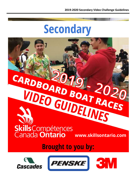

# VIDEO GUIDEINES Skills Compétences

**www.skillsontario.com**

**Brought to you by:** 

CARDBOARD BOAT 2020



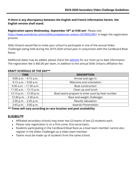**If there is any discrepancy between the English and French information herein, the English version shall stand.**

**Registration opens Wednesday, September 18 th at 9:00 am!** Please visit <https://www.eventbrite.com/o/skillscompetences-ontario-26700023961> to begin the registration process.

Skills Ontario would like to invite your school to participate in one of the annual Video Challenges being held during the 2019-2020 school year in conjunction with the Cardboard Boat Races.

Additional dates may be added, please check the [website](http://www.skillsontario.com/competitions/cardboard-boat-races-and-video-challenges) for our most up to date information. The registration fee is \$60.00 per team, in addition to the annual Skills Ontario affiliation fee.

#### **DRAFT SCHEDULE OF THE DAY\*\***

| <b>TIME</b>               | <b>DESCRIPTION</b>                              |
|---------------------------|-------------------------------------------------|
| $9:00$ a.m. $-9:15$ a.m.  | Arrival and sign-in                             |
| $9:15$ a.m. $-9:30$ a.m.  | Welcome and orientation                         |
| $9:30$ a.m. $-11:30$ a.m. | <b>Boat construction</b>                        |
| 11:30 a.m. $-12:15$ p.m.  | Clean up and lunch                              |
| 12:15 p.m. $-$ 12:30 p.m. | Boat teams prepare to enter pool by heat number |
| 12:30 p.m. $- 2:30$ p.m.  | Race and weight challenges                      |
| $2:30$ p.m. $- 2:45$ p.m. | Results tabulation                              |
| $2:45$ p.m. $-3:00$ p.m.  | <b>Awards Presentation</b>                      |

**\*\* Times will vary according to race location and pool availability**

# **ELIGIBILITY**

- Affiliated secondary schools may enter two (2) teams of two (2) students each.
- Please note registration is on a first-come, first-serve basis.
- Students participating in the Cardboard Boat Race as a boat team member cannot also register in the Video Challenges as a video team member.
- Teams must be made up of students from the same school.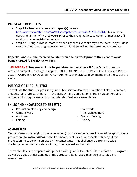# **REGISTRATION PROCESS**

- **Step #1** Teachers reserve team space(s) online at [https://www.eventbrite.com/o/skillscompetences-ontario-26700023961.](https://www.eventbrite.com/o/skillscompetences-ontario-26700023961) This must be done a minimum of two (2) weeks prior to the event, but please note that most races fill up shortly after registration opens.
- **Step #2** Bring individual team member signed waivers directly to the event. Any student that does not have a signed waiver form with them will not be permitted to compete.

#### **Cancellations must be received no later than one (1) week prior to the event to avoid being charged full registration fees.**

**\*\*IMPORTANT: Students will not be permitted to participate if Skills Ontario does not** receive a completed and signed copy of "SKILLS ONTARIO PARTICIPANT CONDITIONS FOR 2019- 2020 PROGRAMS AND COMPETITIONS" form for each individual team member on the day of the event.

# **PURPOSE OF THE CHALLENGE**

To evaluate the students' proficiency in the television/video communications field. To prepare students for future participation in the Skills Ontario Competition in the TV Video Production contest and to inspire students to consider this field as a career choice.

# **SKILLS AND KNOWLEDGE TO BE TESTED**

- Production planning and design
- Camera work
- Audio use
- Editing
- Teamwork
- Time Management
- Problem Solving
- Literacy

# **ASSIGNMENT**

Teams of two students (from the same school) produce and edit, **one** informational/promotional production (**narrative video**) on the Cardboard Boat Races. All aspects of filming of this production must be done on-site by the contestants. This challenge is a province-wide challenge. All submitted videos will be judged against each other.

Teams should come prepared with prior knowledge of Skills Ontario, its mandate and programs, as well as a good understanding of the Cardboard Boat Races, their purpose, rules and regulations.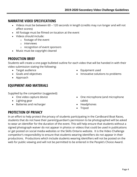# **NARRATIVE VIDEO SPECIFICATIONS**

- Videos must be between 60 120 seconds in length (credits may run longer and will not affect scores)
- All footage must be filmed on-location at the event
- Videos should include:
	- o footage of the event
	- o interviews
	- o recognition of event sponsors
- Music must be copyright cleared

# **PRODUCTION BRIEF**

Students will create a one-page bulleted outline for each video that will be handed in with their video submission stating the following:

- Target audience
- Goals and objectives
- Approach

# **EQUIPMENT AND MATERIALS**

Supplied by the competitor (suggested):

- One video capture device
- Lighting gear
- Batteries and recharger
- Equipment used
- Innovative solutions to problems

- One microphone (and microphone cable)
- Headphones
- Tripod

# **PROTECTION OF PRIVACY**

In an effort to help protect the privacy of students participating in the Cardboard Boat Races, students that do not have their parent/guardian's permission to be photographed will be asked to wear an identifier for the duration of the event. This will help ensure that students without a signed photograph waiver do not appear in photos or videos that could be used in publications or get posted on social media websites or the Skills Ontario website. It is the Video Challenge competitor's responsibility to ensure that students wearing identifiers do not appear in their productions. Productions which include students wearing identifiers will not be posted on the web for public viewing and will not be permitted to be entered in the People's Choice Award.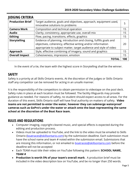| <b>JUDGING CRITERIA</b> |                                                                    |     |
|-------------------------|--------------------------------------------------------------------|-----|
| <b>Production Brief</b> | Target audience, goals and objectives, approach, equipment used,   | 5   |
|                         | innovative solutions to problems                                   |     |
| <b>Camera Work</b>      | Composition and technical operation                                | 15  |
| <b>Audio</b>            | Clarity, consistency, appropriate use, overall mix                 | 15  |
| <b>Editing</b>          | Flow, pacing, transitions, effects, graphics                       | 15  |
| <b>Storytelling</b>     | Evidence of planning, introduction and closing, fulfills goals and |     |
|                         | objectives, coherency, effective writing and/or information        | 20  |
|                         | appropriate to subject matter, target audience and style of video  |     |
| Approach                | Style, effective combining of imagery, sound and graphics          | 15  |
| <b>Overall Impact</b>   | Cohesiveness, impression, emotion                                  | 15  |
|                         | ΤΩΤΑΙ                                                              | 100 |

In the event of a tie, the team with the highest score in Storytelling shall be the winner.

# **SAFETY**

Safety is a priority at all Skills Ontario events. At the discretion of the judges or Skills Ontario staff any competitor can be removed for acting in an unsafe manner.

It is the responsibility of the competitors to obtain permission to videotape on the pool deck. Safety rules in place at each location must be followed. The facility lifeguards may provide guidance as needed. For reasons of safety, no student should expect access to all areas. For the duration of this event, Skills Ontario staff will have final authority on matters of safety. **Video teams are not permitted to enter the water, however they can submerge waterproof cameras such as GoPro's under the water or attach onto the boat representing the same school at the discretion of the Boat Race team.**

# **RULES AND REGULATIONS**

- Computer imaging, copyright-cleared music, and special effects is expected during the editing and production process.
- Videos must be uploaded to YouTube, and the link to the video must be emailed to Skills Ontario [\(boatraces@skillsontario.com\)](mailto:competitions@skillsontario.com) by the submission deadline. Each submission must have the school name and team # noted within the submission email. Submissions that are missing this information, or not emailed to [boatraces@skillsontario.com](mailto:boatraces@skillsontario.com) before the deadline will not be accepted
- Each TEAM must title their video on YouTube following this pattern: **SCHOOL NAME, TEAM #**
- **Production is worth 5% of your team's overall mark**. A production brief must be included in the video description box on YouTube, and be no longer than 250 words.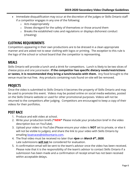- Immediate disqualification may occur at the discretion of the judges or Skills Ontario staff if a competitor engages in any one of the following:
	- o Acts inappropriately
	- o Shows disregard for the safety of themselves or those around them
	- o Breaks the established rules and regulations or displays dishonest conduct (cheating)

# **CLOTHING REQUIREMENTS**

Competitors appearing in their own productions are to be dressed in a clean appropriate manner and are asked not to wear clothing with logos or printing. The *exception* to this rule is the logo of the school or school board that the competitor is representing.

# **MEALS**

Skills Ontario will provide a lunch and a drink for competitors. Lunch is likely to be two slices of cheese pizza and one juice/water. **If the competitor has specific dietary needs/restrictions or tastes, it is recommended they bring a lunch/snacks with them.** Any food brought to the venue must be nut free. Any products containing nuts found on-site will be removed.

# **PROJECTS**

Once the video is submitted to Skills Ontario it becomes the property of Skills Ontario and may be used to promote this event. Videos may be posted online on social media websites, posted on the Skills Ontario website or used for other promotional purposes. Videos will not be returned to the competitors after judging. Competitors are encouraged to keep a copy of their videos for their portfolios.

# **POST RACE**

- 1. Produce and edit video at school.
- 2. Write your production briefs (\***NEW**\* Please include your production brief in the video description box on YouTube).
- 3. Upload your video to YouTube (Please ensure your video is **NOT** set to private, or else it will not be visible to judges), and share the link to your video with Skills Ontario by emailing boatraces@skillsontario.com.
- 4. The final video must be received no later than *4pm* on *March 6th, 2020.* Late submissions **will not** be considered for evaluation.
- 5. A confirmation email will be sent to the team's advisor once the video has been received. Please note that it is the responsibility of the team's advisor to contact Skills Ontario if a submission has been made and a confirmation of receipt email has not been received within acceptable delays.